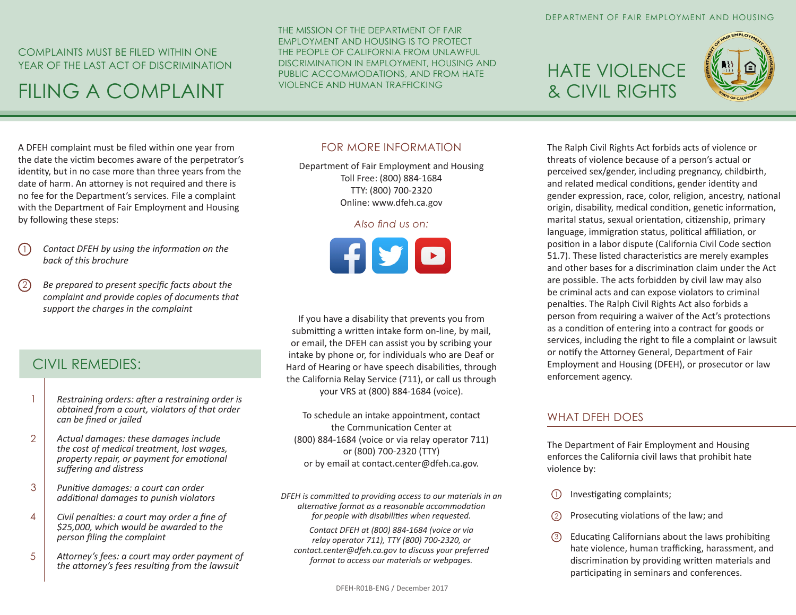## COMPLAINTS MUST BE FILED WITHIN ONE YEAR OF THE LAST ACT OF DISCRIMINATION

# FILING A COMPLAINT

THE MISSION OF THE DEPARTMENT OF FAIR EMPLOYMENT AND HOUSING IS TO PROTECT THE PEOPLE OF CALIFORNIA FROM UNLAWFUL DISCRIMINATION IN EMPLOYMENT, HOUSING AND PUBLIC ACCOMMODATIONS, AND FROM HATE VIOLENCE AND HUMAN TRAFFICKING

# HATE VIOLENCE & CIVIL RIGHTS



A DFEH complaint must be filed within one year from the date the victim becomes aware of the perpetrator's identity, but in no case more than three years from the date of harm. An attorney is not required and there is no fee for the Department's services. File a complaint with the Department of Fair Employment and Housing by following these steps:

- *Contact DFEH by using the information on the back of this brochure* 1
- *Be prepared to present specific facts about the complaint and provide copies of documents that support the charges in the complaint*  $(2)$

### CIVIL REMEDIES:

- *Restraining orders: after a restraining order is obtained from a court, violators of that order can be fined or jailed* 1
- *Actual damages: these damages include the cost of medical treatment, lost wages, property repair, or payment for emotional suffering and distress*  $\mathcal{L}$
- *Punitive damages: a court can order additional damages to punish violators* 3
- *Civil penalties: a court may order a fine of \$25,000, which would be awarded to the person filing the complaint* 4
- *Attorney's fees: a court may order payment of the attorney's fees resulting from the lawsuit* 5

### FOR MORE INFORMATION

Department of Fair Employment and Housing Toll Free: (800) 884-1684 TTY: (800) 700-2320 Online: www.dfeh.ca.gov

#### *Also find us on:*



If you have a disability that prevents you from submitting a written intake form on-line, by mail, or email, the DFEH can assist you by scribing your intake by phone or, for individuals who are Deaf or Hard of Hearing or have speech disabilities, through the California Relay Service (711), or call us through your VRS at (800) 884-1684 (voice).

To schedule an intake appointment, contact the Communication Center at (800) 884-1684 (voice or via relay operator 711) or (800) 700-2320 (TTY) or by email at contact.center@dfeh.ca.gov.

*DFEH is committed to providing access to our materials in an alternative format as a reasonable accommodation for people with disabilities when requested.* 

*Contact DFEH at (800) 884-1684 (voice or via relay operator 711), TTY (800) 700-2320, or contact.center@dfeh.ca.gov to discuss your preferred format to access our materials or webpages.* 

The Ralph Civil Rights Act forbids acts of violence or threats of violence because of a person's actual or perceived sex/gender, including pregnancy, childbirth, and related medical conditions, gender identity and gender expression, race, color, religion, ancestry, national origin, disability, medical condition, genetic information, marital status, sexual orientation, citizenship, primary language, immigration status, political affiliation, or position in a labor dispute (California Civil Code section 51.7). These listed characteristics are merely examples and other bases for a discrimination claim under the Act are possible. The acts forbidden by civil law may also be criminal acts and can expose violators to criminal penalties. The Ralph Civil Rights Act also forbids a person from requiring a waiver of the Act's protections as a condition of entering into a contract for goods or services, including the right to file a complaint or lawsuit or notify the Attorney General, Department of Fair Employment and Housing (DFEH), or prosecutor or law enforcement agency.

### WHAT DEFH DOES

The Department of Fair Employment and Housing enforces the California civil laws that prohibit hate violence by:

- Investigating complaints; 1
- Prosecuting violations of the law; and 2
- Educating Californians about the laws prohibiting hate violence, human trafficking, harassment, and discrimination by providing written materials and participating in seminars and conferences. 3